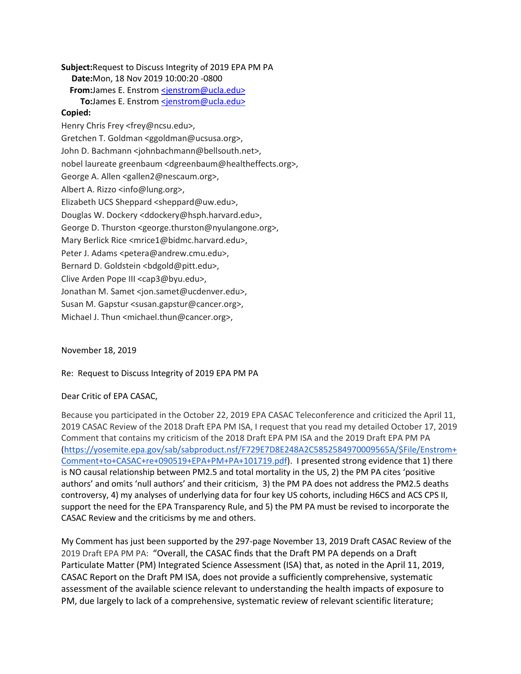**Subject:** Request to Discuss Integrity of 2019 EPA PM PA **Date:** Mon, 18 Nov 2019 10:00:20 -0800 **From:** James E. Enstrom [<jenstrom@ucla.edu>](mailto:jenstrom@ucla.edu) To: James E. Enstrom [<jenstrom@ucla.edu>](mailto:jenstrom@ucla.edu) **Copied:**  Henry Chris Frey <frey@ncsu.edu>, Gretchen T. Goldman <ggoldman@ucsusa.org>, John D. Bachmann <johnbachmann@bellsouth.net>, nobel laureate greenbaum <dgreenbaum@healtheffects.org>, George A. Allen <gallen2@nescaum.org>, Albert A. Rizzo <info@lung.org>, Elizabeth UCS Sheppard <sheppard@uw.edu>, Douglas W. Dockery <ddockery@hsph.harvard.edu>, George D. Thurston <george.thurston@nyulangone.org>, Mary Berlick Rice <mrice1@bidmc.harvard.edu>, Peter J. Adams <petera@andrew.cmu.edu>, Bernard D. Goldstein <br/>bdgold@pitt.edu>, Clive Arden Pope III <cap3@byu.edu>, Jonathan M. Samet <jon.samet@ucdenver.edu>, Susan M. Gapstur <susan.gapstur@cancer.org>, Michael J. Thun <michael.thun@cancer.org>,

November 18, 2019

Re: Request to Discuss Integrity of 2019 EPA PM PA

## Dear Critic of EPA CASAC,

Because you participated in the October 22, 2019 EPA CASAC Teleconference and criticized the April 11, 2019 CASAC Review of the 2018 Draft EPA PM ISA, I request that you read my detailed October 17, 2019 Comment that contains my criticism of the 2018 Draft EPA PM ISA and the 2019 Draft EPA PM PA [\(https://yosemite.epa.gov/sab/sabproduct.nsf/F729E7D8E248A2C5852584970009565A/\\$File/Enstrom+](https://yosemite.epa.gov/sab/sabproduct.nsf/F729E7D8E248A2C5852584970009565A/$File/Enstrom+Comment+to+CASAC+re+090519+EPA+PM+PA+101719.pdf) [Comment+to+CASAC+re+090519+EPA+PM+PA+101719.pdf\)](https://yosemite.epa.gov/sab/sabproduct.nsf/F729E7D8E248A2C5852584970009565A/$File/Enstrom+Comment+to+CASAC+re+090519+EPA+PM+PA+101719.pdf). I presented strong evidence that 1) there is NO causal relationship between PM2.5 and total mortality in the US, 2) the PM PA cites 'positive authors' and omits 'null authors' and their criticism, 3) the PM PA does not address the PM2.5 deaths controversy, 4) my analyses of underlying data for four key US cohorts, including H6CS and ACS CPS II, support the need for the EPA Transparency Rule, and 5) the PM PA must be revised to incorporate the CASAC Review and the criticisms by me and others.

My Comment has just been supported by the 297-page November 13, 2019 Draft CASAC Review of the 2019 Draft EPA PM PA: "Overall, the CASAC finds that the Draft PM PA depends on a Draft Particulate Matter (PM) Integrated Science Assessment (ISA) that, as noted in the April 11, 2019, CASAC Report on the Draft PM ISA, does not provide a sufficiently comprehensive, systematic assessment of the available science relevant to understanding the health impacts of exposure to PM, due largely to lack of a comprehensive, systematic review of relevant scientific literature;